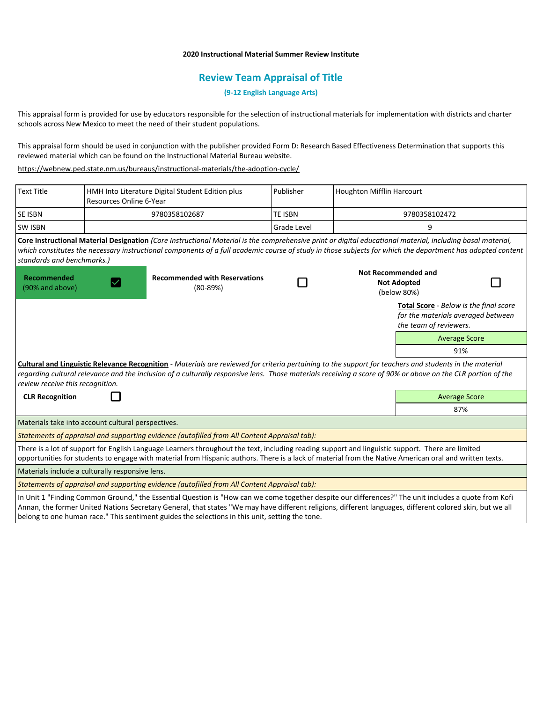# **2020 Instructional Material Summer Review Institute**

# **Review Team Appraisal of Title**

**(9-12 English Language Arts)**

This appraisal form is provided for use by educators responsible for the selection of instructional materials for implementation with districts and charter schools across New Mexico to meet the need of their student populations.

This appraisal form should be used in conjunction with the publisher provided Form D: Research Based Effectiveness Determination that supports this reviewed material which can be found on the Instructional Material Bureau website.

<https://webnew.ped.state.nm.us/bureaus/instructional-materials/the-adoption-cycle/>

| <b>Text Title</b>                                                                                                                                                                                                                                                                                                                                          | Resources Online 6-Year | HMH Into Literature Digital Student Edition plus                                                                                                                                                                                                                                                                         | Publisher          | <b>Houghton Mifflin Harcourt</b> |                                                                                                        |  |
|------------------------------------------------------------------------------------------------------------------------------------------------------------------------------------------------------------------------------------------------------------------------------------------------------------------------------------------------------------|-------------------------|--------------------------------------------------------------------------------------------------------------------------------------------------------------------------------------------------------------------------------------------------------------------------------------------------------------------------|--------------------|----------------------------------|--------------------------------------------------------------------------------------------------------|--|
| SE ISBN                                                                                                                                                                                                                                                                                                                                                    | 9780358102687           |                                                                                                                                                                                                                                                                                                                          | <b>TE ISBN</b>     |                                  | 9780358102472                                                                                          |  |
| <b>SW ISBN</b>                                                                                                                                                                                                                                                                                                                                             |                         |                                                                                                                                                                                                                                                                                                                          | <b>Grade Level</b> | 9                                |                                                                                                        |  |
| standards and benchmarks.)                                                                                                                                                                                                                                                                                                                                 |                         | Core Instructional Material Designation (Core Instructional Material is the comprehensive print or digital educational material, including basal material,<br>which constitutes the necessary instructional components of a full academic course of study in those subjects for which the department has adopted content |                    |                                  |                                                                                                        |  |
| <b>Recommended</b><br>(90% and above)<br>$(80 - 89%)$                                                                                                                                                                                                                                                                                                      |                         | <b>Recommended with Reservations</b>                                                                                                                                                                                                                                                                                     |                    |                                  | Not Recommended and<br><b>Not Adopted</b><br>(below 80%)                                               |  |
|                                                                                                                                                                                                                                                                                                                                                            |                         |                                                                                                                                                                                                                                                                                                                          |                    |                                  | Total Score - Below is the final score<br>for the materials averaged between<br>the team of reviewers. |  |
|                                                                                                                                                                                                                                                                                                                                                            |                         |                                                                                                                                                                                                                                                                                                                          |                    |                                  | <b>Average Score</b>                                                                                   |  |
|                                                                                                                                                                                                                                                                                                                                                            |                         |                                                                                                                                                                                                                                                                                                                          |                    |                                  | 91%                                                                                                    |  |
| Cultural and Linguistic Relevance Recognition - Materials are reviewed for criteria pertaining to the support for teachers and students in the material<br>regarding cultural relevance and the inclusion of a culturally responsive lens. Those materials receiving a score of 90% or above on the CLR portion of the<br>review receive this recognition. |                         |                                                                                                                                                                                                                                                                                                                          |                    |                                  |                                                                                                        |  |
| <b>CLR Recognition</b>                                                                                                                                                                                                                                                                                                                                     |                         |                                                                                                                                                                                                                                                                                                                          |                    |                                  | <b>Average Score</b>                                                                                   |  |
|                                                                                                                                                                                                                                                                                                                                                            |                         |                                                                                                                                                                                                                                                                                                                          |                    |                                  | 87%                                                                                                    |  |
| Materials take into account cultural perspectives.                                                                                                                                                                                                                                                                                                         |                         |                                                                                                                                                                                                                                                                                                                          |                    |                                  |                                                                                                        |  |
| Statements of appraisal and supporting evidence (autofilled from All Content Appraisal tab):                                                                                                                                                                                                                                                               |                         |                                                                                                                                                                                                                                                                                                                          |                    |                                  |                                                                                                        |  |
|                                                                                                                                                                                                                                                                                                                                                            |                         | There is a lot of support for English Language Learners throughout the text, including reading support and linguistic support. There are limited<br>opportunities for students to engage with material from Hispanic authors. There is a lack of material from the Native American oral and written texts.               |                    |                                  |                                                                                                        |  |
| Materials include a culturally responsive lens.                                                                                                                                                                                                                                                                                                            |                         |                                                                                                                                                                                                                                                                                                                          |                    |                                  |                                                                                                        |  |
| Statements of appraisal and supporting evidence (autofilled from All Content Appraisal tab):                                                                                                                                                                                                                                                               |                         |                                                                                                                                                                                                                                                                                                                          |                    |                                  |                                                                                                        |  |
|                                                                                                                                                                                                                                                                                                                                                            |                         | In Unit 1 "Finding Common Ground," the Essential Question is "How can we come together despite our differences?" The unit includes a quote from Kofi<br>Annan, the former United Nations Secretary General, that states "We may have different religions, different languages, different colored skin, but we all        |                    |                                  |                                                                                                        |  |

belong to one human race." This sentiment guides the selections in this unit, setting the tone.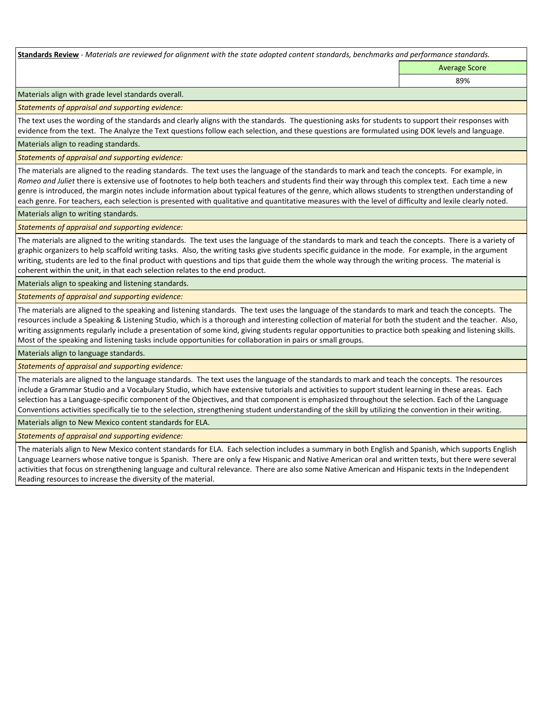**Standards Review** *- Materials are reviewed for alignment with the state adopted content standards, benchmarks and performance standards.*

Average Score

89%

Materials align with grade level standards overall.

*Statements of appraisal and supporting evidence:* 

The text uses the wording of the standards and clearly aligns with the standards. The questioning asks for students to support their responses with evidence from the text. The Analyze the Text questions follow each selection, and these questions are formulated using DOK levels and language.

Materials align to reading standards.

*Statements of appraisal and supporting evidence:* 

The materials are aligned to the reading standards. The text uses the language of the standards to mark and teach the concepts. For example, in *Romeo and Juliet* there is extensive use of footnotes to help both teachers and students find their way through this complex text. Each time a new genre is introduced, the margin notes include information about typical features of the genre, which allows students to strengthen understanding of each genre. For teachers, each selection is presented with qualitative and quantitative measures with the level of difficulty and lexile clearly noted.

Materials align to writing standards.

*Statements of appraisal and supporting evidence:* 

The materials are aligned to the writing standards. The text uses the language of the standards to mark and teach the concepts. There is a variety of graphic organizers to help scaffold writing tasks. Also, the writing tasks give students specific guidance in the mode. For example, in the argument writing, students are led to the final product with questions and tips that guide them the whole way through the writing process. The material is coherent within the unit, in that each selection relates to the end product.

Materials align to speaking and listening standards.

*Statements of appraisal and supporting evidence:* 

The materials are aligned to the speaking and listening standards. The text uses the language of the standards to mark and teach the concepts. The resources include a Speaking & Listening Studio, which is a thorough and interesting collection of material for both the student and the teacher. Also, writing assignments regularly include a presentation of some kind, giving students regular opportunities to practice both speaking and listening skills. Most of the speaking and listening tasks include opportunities for collaboration in pairs or small groups.

Materials align to language standards.

*Statements of appraisal and supporting evidence:* 

The materials are aligned to the language standards. The text uses the language of the standards to mark and teach the concepts. The resources include a Grammar Studio and a Vocabulary Studio, which have extensive tutorials and activities to support student learning in these areas. Each selection has a Language-specific component of the Objectives, and that component is emphasized throughout the selection. Each of the Language Conventions activities specifically tie to the selection, strengthening student understanding of the skill by utilizing the convention in their writing.

Materials align to New Mexico content standards for ELA.

*Statements of appraisal and supporting evidence:* 

The materials align to New Mexico content standards for ELA. Each selection includes a summary in both English and Spanish, which supports English Language Learners whose native tongue is Spanish. There are only a few Hispanic and Native American oral and written texts, but there were several activities that focus on strengthening language and cultural relevance. There are also some Native American and Hispanic texts in the Independent Reading resources to increase the diversity of the material.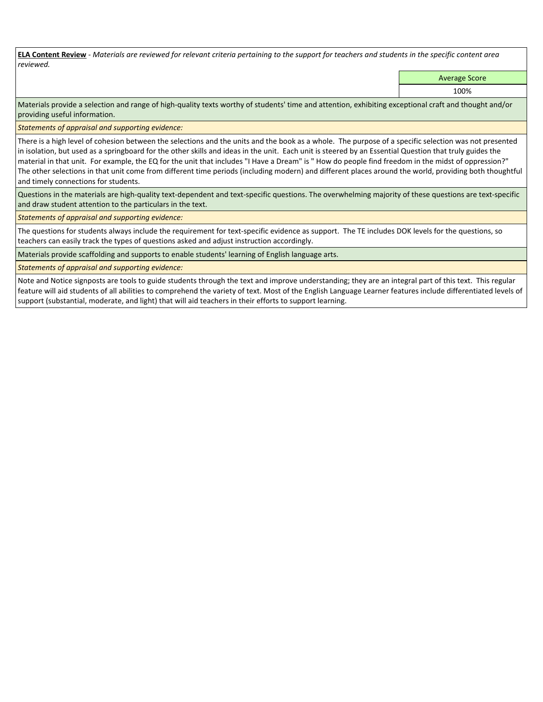**ELA Content Review** *- Materials are reviewed for relevant criteria pertaining to the support for teachers and students in the specific content area reviewed.*

Average Score

100%

Materials provide a selection and range of high-quality texts worthy of students' time and attention, exhibiting exceptional craft and thought and/or providing useful information.

*Statements of appraisal and supporting evidence:* 

There is a high level of cohesion between the selections and the units and the book as a whole. The purpose of a specific selection was not presented in isolation, but used as a springboard for the other skills and ideas in the unit. Each unit is steered by an Essential Question that truly guides the material in that unit. For example, the EQ for the unit that includes "I Have a Dream" is " How do people find freedom in the midst of oppression?" The other selections in that unit come from different time periods (including modern) and different places around the world, providing both thoughtful and timely connections for students.

Questions in the materials are high-quality text-dependent and text-specific questions. The overwhelming majority of these questions are text-specific and draw student attention to the particulars in the text.

*Statements of appraisal and supporting evidence:* 

The questions for students always include the requirement for text-specific evidence as support. The TE includes DOK levels for the questions, so teachers can easily track the types of questions asked and adjust instruction accordingly.

Materials provide scaffolding and supports to enable students' learning of English language arts.

*Statements of appraisal and supporting evidence:* 

Note and Notice signposts are tools to guide students through the text and improve understanding; they are an integral part of this text. This regular feature will aid students of all abilities to comprehend the variety of text. Most of the English Language Learner features include differentiated levels of support (substantial, moderate, and light) that will aid teachers in their efforts to support learning.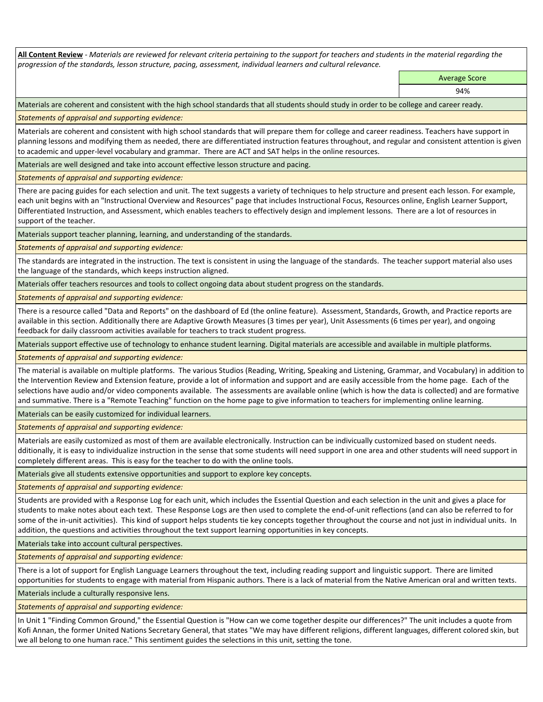**All Content Review** *- Materials are reviewed for relevant criteria pertaining to the support for teachers and students in the material regarding the progression of the standards, lesson structure, pacing, assessment, individual learners and cultural relevance.*

> Average Score 94%

Materials are coherent and consistent with the high school standards that all students should study in order to be college and career ready.

*Statements of appraisal and supporting evidence:*

Materials are coherent and consistent with high school standards that will prepare them for college and career readiness. Teachers have support in planning lessons and modifying them as needed, there are differentiated instruction features throughout, and regular and consistent attention is given to academic and upper-level vocabulary and grammar. There are ACT and SAT helps in the online resources.

Materials are well designed and take into account effective lesson structure and pacing.

*Statements of appraisal and supporting evidence:*

There are pacing guides for each selection and unit. The text suggests a variety of techniques to help structure and present each lesson. For example, each unit begins with an "Instructional Overview and Resources" page that includes Instructional Focus, Resources online, English Learner Support, Differentiated Instruction, and Assessment, which enables teachers to effectively design and implement lessons. There are a lot of resources in support of the teacher.

Materials support teacher planning, learning, and understanding of the standards.

*Statements of appraisal and supporting evidence:*

The standards are integrated in the instruction. The text is consistent in using the language of the standards. The teacher support material also uses the language of the standards, which keeps instruction aligned.

Materials offer teachers resources and tools to collect ongoing data about student progress on the standards.

*Statements of appraisal and supporting evidence:*

There is a resource called "Data and Reports" on the dashboard of Ed (the online feature). Assessment, Standards, Growth, and Practice reports are available in this section. Additionally there are Adaptive Growth Measures (3 times per year), Unit Assessments (6 times per year), and ongoing feedback for daily classroom activities available for teachers to track student progress.

Materials support effective use of technology to enhance student learning. Digital materials are accessible and available in multiple platforms.

*Statements of appraisal and supporting evidence:*

The material is available on multiple platforms. The various Studios (Reading, Writing, Speaking and Listening, Grammar, and Vocabulary) in addition to the Intervention Review and Extension feature, provide a lot of information and support and are easily accessible from the home page. Each of the selections have audio and/or video components available. The assessments are available online (which is how the data is collected) and are formative and summative. There is a "Remote Teaching" function on the home page to give information to teachers for implementing online learning.

Materials can be easily customized for individual learners.

*Statements of appraisal and supporting evidence:* 

Materials are easily customized as most of them are available electronically. Instruction can be indivicually customized based on student needs. dditionally, it is easy to individualize instruction in the sense that some students will need support in one area and other students will need support in completely different areas. This is easy for the teacher to do with the online tools.

Materials give all students extensive opportunities and support to explore key concepts.

*Statements of appraisal and supporting evidence:*

Students are provided with a Response Log for each unit, which includes the Essential Question and each selection in the unit and gives a place for students to make notes about each text. These Response Logs are then used to complete the end-of-unit reflections (and can also be referred to for some of the in-unit activities). This kind of support helps students tie key concepts together throughout the course and not just in individual units. In addition, the questions and activities throughout the text support learning opportunities in key concepts.

Materials take into account cultural perspectives.

*Statements of appraisal and supporting evidence:*

There is a lot of support for English Language Learners throughout the text, including reading support and linguistic support. There are limited opportunities for students to engage with material from Hispanic authors. There is a lack of material from the Native American oral and written texts.

Materials include a culturally responsive lens.

*Statements of appraisal and supporting evidence:*

In Unit 1 "Finding Common Ground," the Essential Question is "How can we come together despite our differences?" The unit includes a quote from Kofi Annan, the former United Nations Secretary General, that states "We may have different religions, different languages, different colored skin, but we all belong to one human race." This sentiment guides the selections in this unit, setting the tone.